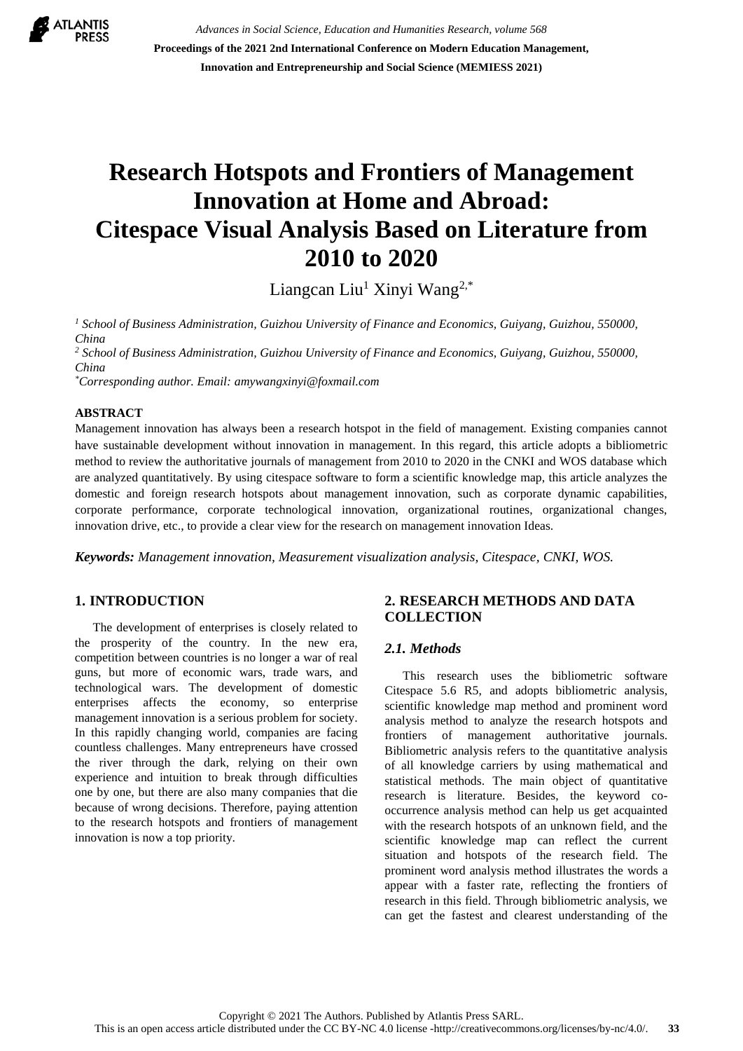

*Advances in Social Science, Education and Humanities Research, volume 568* **Proceedings of the 2021 2nd International Conference on Modern Education Management, Innovation and Entrepreneurship and Social Science (MEMIESS 2021)**

# **Research Hotspots and Frontiers of Management Innovation at Home and Abroad: Citespace Visual Analysis Based on Literature from 2010 to 2020**

Liangcan Liu<sup>1</sup> Xinyi Wang<sup>2,\*</sup>

*<sup>1</sup> School of Business Administration, Guizhou University of Finance and Economics, Guiyang, Guizhou, 550000, China*

*<sup>2</sup> School of Business Administration, Guizhou University of Finance and Economics, Guiyang, Guizhou, 550000, China*

*\*Corresponding author. Email: amywangxinyi@foxmail.com*

#### **ABSTRACT**

Management innovation has always been a research hotspot in the field of management. Existing companies cannot have sustainable development without innovation in management. In this regard, this article adopts a bibliometric method to review the authoritative journals of management from 2010 to 2020 in the CNKI and WOS database which are analyzed quantitatively. By using citespace software to form a scientific knowledge map, this article analyzes the domestic and foreign research hotspots about management innovation, such as corporate dynamic capabilities, corporate performance, corporate technological innovation, organizational routines, organizational changes, innovation drive, etc., to provide a clear view for the research on management innovation Ideas.

*Keywords: Management innovation, Measurement visualization analysis, Citespace, CNKI, WOS.*

## **1. INTRODUCTION**

The development of enterprises is closely related to the prosperity of the country. In the new era, competition between countries is no longer a war of real guns, but more of economic wars, trade wars, and technological wars. The development of domestic enterprises affects the economy, so enterprise management innovation is a serious problem for society. In this rapidly changing world, companies are facing countless challenges. Many entrepreneurs have crossed the river through the dark, relying on their own experience and intuition to break through difficulties one by one, but there are also many companies that die because of wrong decisions. Therefore, paying attention to the research hotspots and frontiers of management innovation is now a top priority.

# **2. RESEARCH METHODS AND DATA COLLECTION**

### *2.1. Methods*

This research uses the bibliometric software Citespace 5.6 R5, and adopts bibliometric analysis, scientific knowledge map method and prominent word analysis method to analyze the research hotspots and frontiers of management authoritative journals. Bibliometric analysis refers to the quantitative analysis of all knowledge carriers by using mathematical and statistical methods. The main object of quantitative research is literature. Besides, the keyword cooccurrence analysis method can help us get acquainted with the research hotspots of an unknown field, and the scientific knowledge map can reflect the current situation and hotspots of the research field. The prominent word analysis method illustrates the words a appear with a faster rate, reflecting the frontiers of research in this field. Through bibliometric analysis, we can get the fastest and clearest understanding of the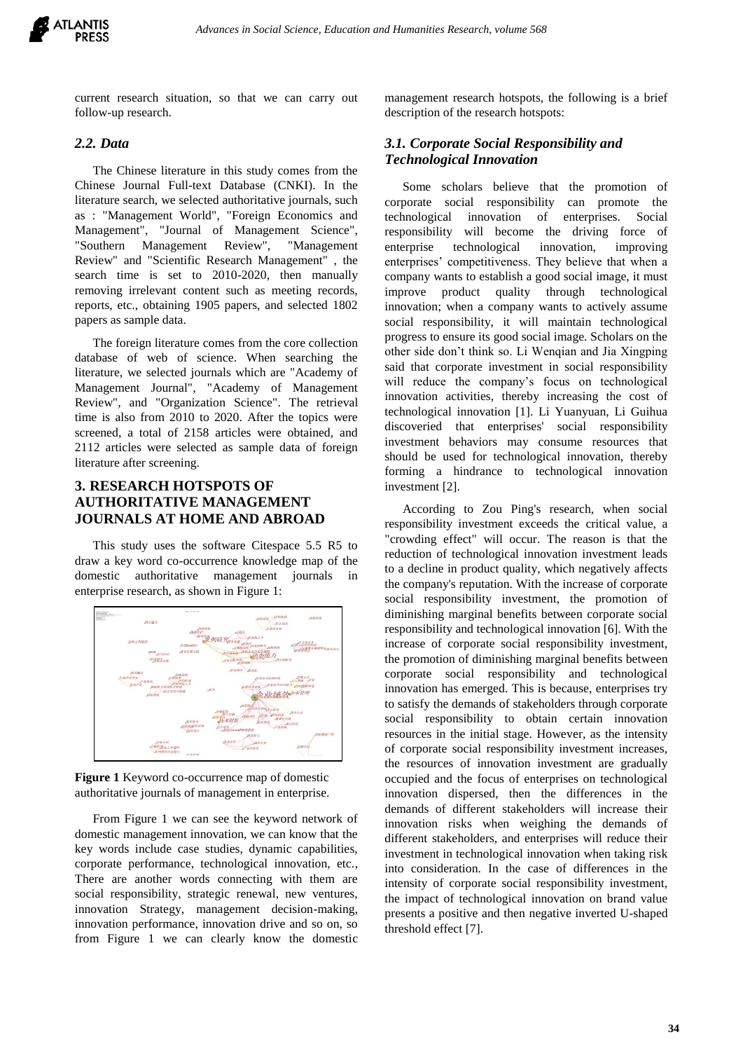

current research situation, so that we can carry out follow-up research.

#### *2.2. Data*

The Chinese literature in this study comes from the Chinese Journal Full-text Database (CNKI). In the literature search, we selected authoritative journals, such as : "Management World", "Foreign Economics and Management", "Journal of Management Science", "Southern Management Review", "Management Review" and "Scientific Research Management" , the search time is set to 2010-2020, then manually removing irrelevant content such as meeting records, reports, etc., obtaining 1905 papers, and selected 1802 papers as sample data.

The foreign literature comes from the core collection database of web of science. When searching the literature, we selected journals which are "Academy of Management Journal", "Academy of Management Review", and "Organization Science". The retrieval time is also from 2010 to 2020. After the topics were screened, a total of 2158 articles were obtained, and 2112 articles were selected as sample data of foreign literature after screening.

# **3. RESEARCH HOTSPOTS OF AUTHORITATIVE MANAGEMENT JOURNALS AT HOME AND ABROAD**

This study uses the software Citespace 5.5 R5 to draw a key word co-occurrence knowledge map of the domestic authoritative management journals in enterprise research, as shown in Figure 1:



**Figure 1** Keyword co-occurrence map of domestic authoritative journals of management in enterprise.

From Figure 1 we can see the keyword network of domestic management innovation, we can know that the key words include case studies, dynamic capabilities, corporate performance, technological innovation, etc., There are another words connecting with them are social responsibility, strategic renewal, new ventures, innovation Strategy, management decision-making, innovation performance, innovation drive and so on, so from Figure 1 we can clearly know the domestic management research hotspots, the following is a brief description of the research hotspots:

## *3.1. Corporate Social Responsibility and Technological Innovation*

Some scholars believe that the promotion of corporate social responsibility can promote the technological innovation of enterprises. Social responsibility will become the driving force of enterprise technological innovation, improving enterprises' competitiveness. They believe that when a company wants to establish a good social image, it must improve product quality through technological innovation; when a company wants to actively assume social responsibility, it will maintain technological progress to ensure its good social image. Scholars on the other side don't think so. Li Wenqian and Jia Xingping said that corporate investment in social responsibility will reduce the company's focus on technological innovation activities, thereby increasing the cost of technological innovation [1]. Li Yuanyuan, Li Guihua discoveried that enterprises' social responsibility investment behaviors may consume resources that should be used for technological innovation, thereby forming a hindrance to technological innovation investment [2].

According to Zou Ping's research, when social responsibility investment exceeds the critical value, a "crowding effect" will occur. The reason is that the reduction of technological innovation investment leads to a decline in product quality, which negatively affects the company's reputation. With the increase of corporate social responsibility investment, the promotion of diminishing marginal benefits between corporate social responsibility and technological innovation [6]. With the increase of corporate social responsibility investment, the promotion of diminishing marginal benefits between corporate social responsibility and technological innovation has emerged. This is because, enterprises try to satisfy the demands of stakeholders through corporate social responsibility to obtain certain innovation resources in the initial stage. However, as the intensity of corporate social responsibility investment increases, the resources of innovation investment are gradually occupied and the focus of enterprises on technological innovation dispersed, then the differences in the demands of different stakeholders will increase their innovation risks when weighing the demands of different stakeholders, and enterprises will reduce their investment in technological innovation when taking risk into consideration. In the case of differences in the intensity of corporate social responsibility investment, the impact of technological innovation on brand value presents a positive and then negative inverted U-shaped threshold effect [7].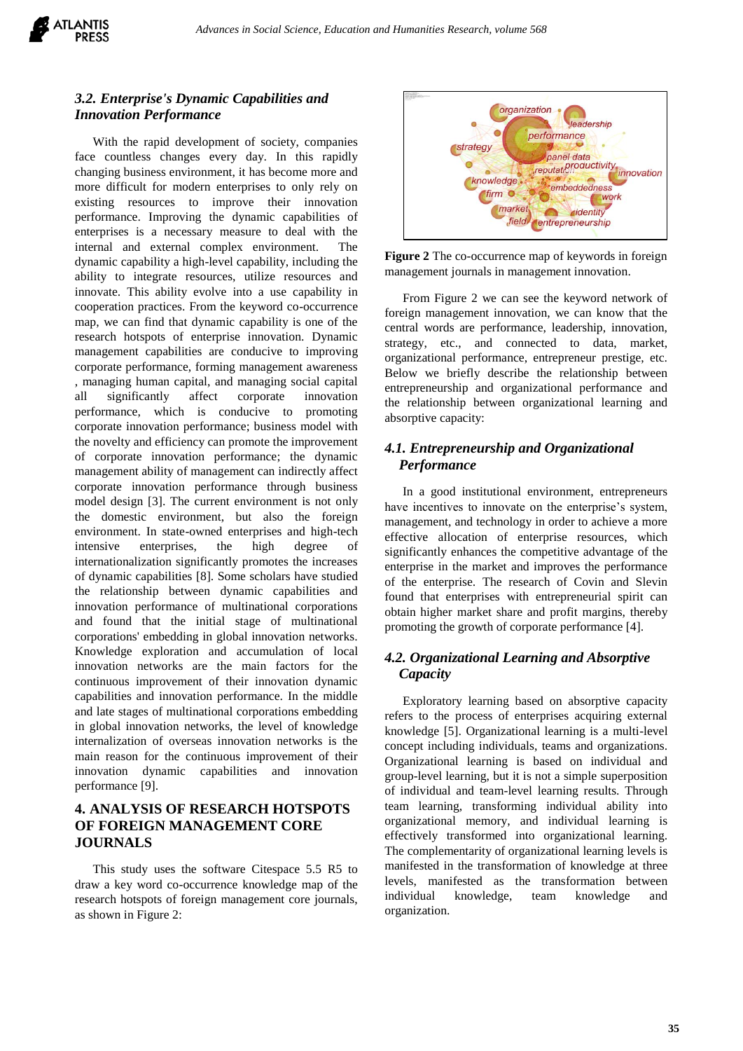

# *3.2. Enterprise's Dynamic Capabilities and Innovation Performance*

With the rapid development of society, companies face countless changes every day. In this rapidly changing business environment, it has become more and more difficult for modern enterprises to only rely on existing resources to improve their innovation performance. Improving the dynamic capabilities of enterprises is a necessary measure to deal with the internal and external complex environment. The dynamic capability a high-level capability, including the ability to integrate resources, utilize resources and innovate. This ability evolve into a use capability in cooperation practices. From the keyword co-occurrence map, we can find that dynamic capability is one of the research hotspots of enterprise innovation. Dynamic management capabilities are conducive to improving corporate performance, forming management awareness , managing human capital, and managing social capital all significantly affect corporate innovation performance, which is conducive to promoting corporate innovation performance; business model with the novelty and efficiency can promote the improvement of corporate innovation performance; the dynamic management ability of management can indirectly affect corporate innovation performance through business model design [3]. The current environment is not only the domestic environment, but also the foreign environment. In state-owned enterprises and high-tech intensive enterprises, the high degree of internationalization significantly promotes the increases of dynamic capabilities [8]. Some scholars have studied the relationship between dynamic capabilities and innovation performance of multinational corporations and found that the initial stage of multinational corporations' embedding in global innovation networks. Knowledge exploration and accumulation of local innovation networks are the main factors for the continuous improvement of their innovation dynamic capabilities and innovation performance. In the middle and late stages of multinational corporations embedding in global innovation networks, the level of knowledge internalization of overseas innovation networks is the main reason for the continuous improvement of their innovation dynamic capabilities and innovation performance [9].

## **4. ANALYSIS OF RESEARCH HOTSPOTS OF FOREIGN MANAGEMENT CORE JOURNALS**

This study uses the software Citespace 5.5 R5 to draw a key word co-occurrence knowledge map of the research hotspots of foreign management core journals, as shown in Figure 2:



**Figure 2** The co-occurrence map of keywords in foreign management journals in management innovation.

From Figure 2 we can see the keyword network of foreign management innovation, we can know that the central words are performance, leadership, innovation, strategy, etc., and connected to data, market, organizational performance, entrepreneur prestige, etc. Below we briefly describe the relationship between entrepreneurship and organizational performance and the relationship between organizational learning and absorptive capacity:

# *4.1. Entrepreneurship and Organizational Performance*

In a good institutional environment, entrepreneurs have incentives to innovate on the enterprise's system, management, and technology in order to achieve a more effective allocation of enterprise resources, which significantly enhances the competitive advantage of the enterprise in the market and improves the performance of the enterprise. The research of Covin and Slevin found that enterprises with entrepreneurial spirit can obtain higher market share and profit margins, thereby promoting the growth of corporate performance [4].

## *4.2. Organizational Learning and Absorptive Capacity*

Exploratory learning based on absorptive capacity refers to the process of enterprises acquiring external knowledge [5]. Organizational learning is a multi-level concept including individuals, teams and organizations. Organizational learning is based on individual and group-level learning, but it is not a simple superposition of individual and team-level learning results. Through team learning, transforming individual ability into organizational memory, and individual learning is effectively transformed into organizational learning. The complementarity of organizational learning levels is manifested in the transformation of knowledge at three levels, manifested as the transformation between individual knowledge, team knowledge and organization.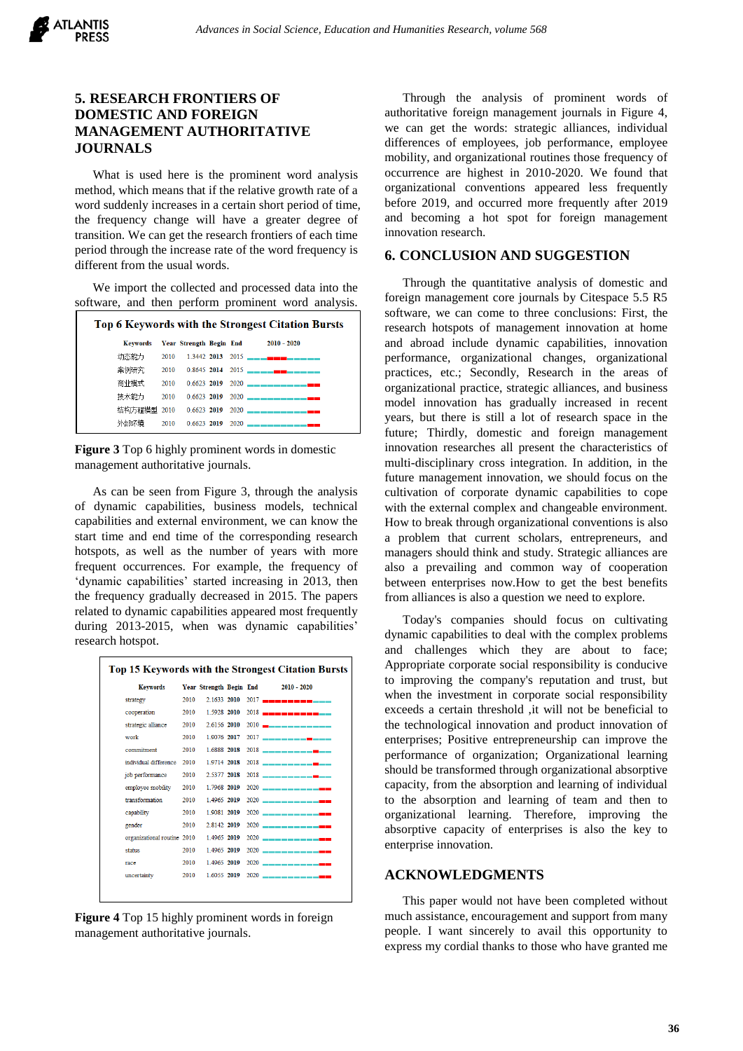# **5. RESEARCH FRONTIERS OF DOMESTIC AND FOREIGN MANAGEMENT AUTHORITATIVE JOURNALS**

What is used here is the prominent word analysis method, which means that if the relative growth rate of a word suddenly increases in a certain short period of time, the frequency change will have a greater degree of transition. We can get the research frontiers of each time period through the increase rate of the word frequency is different from the usual words.

We import the collected and processed data into the software, and then perform prominent word analysis.

| Top 6 Keywords with the Strongest Citation Bursts |      |  |  |  |                                             |  |  |  |  |  |
|---------------------------------------------------|------|--|--|--|---------------------------------------------|--|--|--|--|--|
| Keywords Year Strength Begin End                  |      |  |  |  | $2010 - 2020$                               |  |  |  |  |  |
| 动态能力                                              |      |  |  |  |                                             |  |  |  |  |  |
| 案例研究                                              |      |  |  |  | 2010 0.8645 2014 2015 —————————————         |  |  |  |  |  |
| 商业模式                                              | 2010 |  |  |  | $0.6623$ 2019 2020 ____________             |  |  |  |  |  |
| 技术能力                                              | 2010 |  |  |  | $0.6623$ 2019 2020 ____________             |  |  |  |  |  |
|                                                   |      |  |  |  | 结构方程模型 2010 - 0.6623 2019 - 2020 —————————— |  |  |  |  |  |
| 外部环境                                              | 2010 |  |  |  | $0.6623$ 2019 2020 ____                     |  |  |  |  |  |

**Figure 3** Top 6 highly prominent words in domestic management authoritative journals.

As can be seen from Figure 3, through the analysis of dynamic capabilities, business models, technical capabilities and external environment, we can know the start time and end time of the corresponding research hotspots, as well as the number of years with more frequent occurrences. For example, the frequency of 'dynamic capabilities' started increasing in 2013, then the frequency gradually decreased in 2015. The papers related to dynamic capabilities appeared most frequently during 2013-2015, when was dynamic capabilities' research hotspot.

| Top 15 Keywords with the Strongest Citation Bursts |      |                         |  |  |                                         |  |  |  |  |  |
|----------------------------------------------------|------|-------------------------|--|--|-----------------------------------------|--|--|--|--|--|
| <b>Keywords</b>                                    |      | Year Strength Begin End |  |  | 2010 - 2020                             |  |  |  |  |  |
| strategy                                           | 2010 | 2.1633 2010             |  |  | 2017 - <b>- - - - - - - - -</b> - - -   |  |  |  |  |  |
| cooperation                                        | 2010 | 1.5928 2010             |  |  | 2018 - <b>- - - - - - - - - - -</b> - - |  |  |  |  |  |
| strategic alliance                                 | 2010 | 2.6156 2010             |  |  | $2010$ <b>m</b> — — — — — — — — — — —   |  |  |  |  |  |
| work                                               | 2010 | 1 9076 2017             |  |  | 2017 ——————— <del>—</del> ———           |  |  |  |  |  |
| commitment                                         | 2010 | 1.6888 2018             |  |  | 2018 ————————————                       |  |  |  |  |  |
| individual difference                              | 2010 | 1.9714 2018             |  |  | 2018 ————————————                       |  |  |  |  |  |
| job performance                                    | 2010 | 2.5377 2018             |  |  | 2018 ____________                       |  |  |  |  |  |
| employee mobility                                  | 2010 | 1 7968 2019             |  |  | 2020 --------------                     |  |  |  |  |  |
| transformation                                     | 2010 | 1.4965 2019             |  |  | 2020 <b>_____________</b>               |  |  |  |  |  |
| capability                                         | 2010 | 1.9081 2019             |  |  | 2020 _____________                      |  |  |  |  |  |
| gender                                             | 2010 | 2.8142 2019             |  |  | 2020 -------------                      |  |  |  |  |  |
| organizational routine 2010                        |      | 1 4965 2019             |  |  | 2020 --------------                     |  |  |  |  |  |
| status                                             | 2010 | 1 4965 2019             |  |  | 2020 -------------                      |  |  |  |  |  |
| race                                               | 2010 | 1.4965 2019             |  |  | 2020 _____________                      |  |  |  |  |  |
| uncertainty                                        | 2010 | 1.6055 2019             |  |  | 2020 _____________                      |  |  |  |  |  |
|                                                    |      |                         |  |  |                                         |  |  |  |  |  |

**Figure 4** Top 15 highly prominent words in foreign management authoritative journals.

Through the analysis of prominent words of authoritative foreign management journals in Figure 4, we can get the words: strategic alliances, individual differences of employees, job performance, employee mobility, and organizational routines those frequency of occurrence are highest in 2010-2020. We found that organizational conventions appeared less frequently before 2019, and occurred more frequently after 2019 and becoming a hot spot for foreign management innovation research.

### **6. CONCLUSION AND SUGGESTION**

Through the quantitative analysis of domestic and foreign management core journals by Citespace 5.5 R5 software, we can come to three conclusions: First, the research hotspots of management innovation at home and abroad include dynamic capabilities, innovation performance, organizational changes, organizational practices, etc.; Secondly, Research in the areas of organizational practice, strategic alliances, and business model innovation has gradually increased in recent years, but there is still a lot of research space in the future; Thirdly, domestic and foreign management innovation researches all present the characteristics of multi-disciplinary cross integration. In addition, in the future management innovation, we should focus on the cultivation of corporate dynamic capabilities to cope with the external complex and changeable environment. How to break through organizational conventions is also a problem that current scholars, entrepreneurs, and managers should think and study. Strategic alliances are also a prevailing and common way of cooperation between enterprises now.How to get the best benefits from alliances is also a question we need to explore.

Today's companies should focus on cultivating dynamic capabilities to deal with the complex problems and challenges which they are about to face; Appropriate corporate social responsibility is conducive to improving the company's reputation and trust, but when the investment in corporate social responsibility exceeds a certain threshold ,it will not be beneficial to the technological innovation and product innovation of enterprises; Positive entrepreneurship can improve the performance of organization; Organizational learning should be transformed through organizational absorptive capacity, from the absorption and learning of individual to the absorption and learning of team and then to organizational learning. Therefore, improving the absorptive capacity of enterprises is also the key to enterprise innovation.

#### **ACKNOWLEDGMENTS**

This paper would not have been completed without much assistance, encouragement and support from many people. I want sincerely to avail this opportunity to express my cordial thanks to those who have granted me